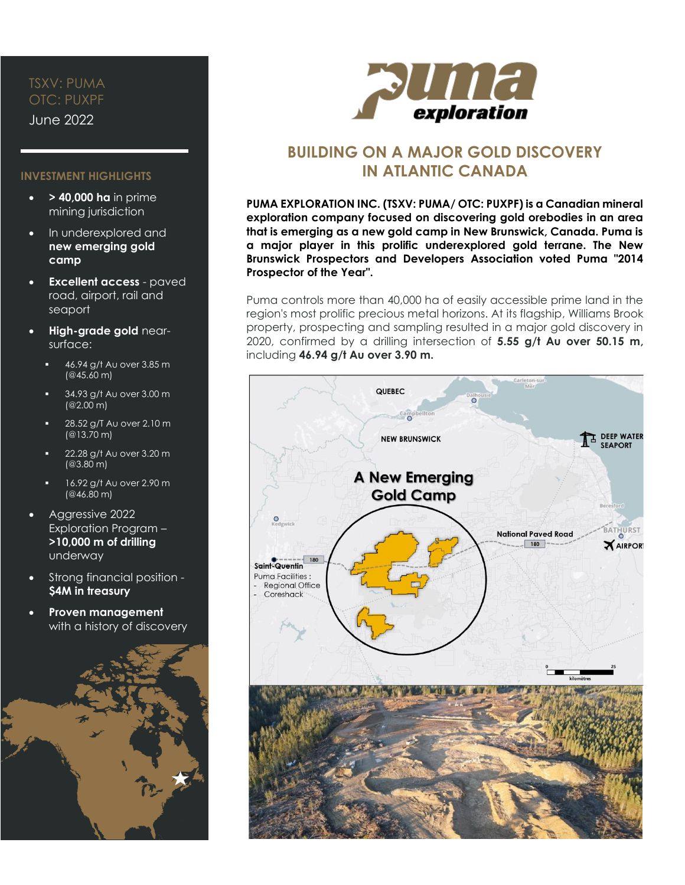# TSXV: PUMA OTC: PUXPF

June 2022

## **INVESTMENT HIGHLIGHTS**

- **> 40,000 ha** in prime mining jurisdiction
- In underexplored and **new emerging gold camp**
- **Excellent access** paved road, airport, rail and seaport
- **High-grade gold** nearsurface:
	- 46.94 g/t Au over 3.85 m (@45.60 m)
	- 34.93 g/t Au over 3.00 m (@2.00 m)
	- 28.52 g/T Au over 2.10 m (@13.70 m)
	- 22.28 g/t Au over 3.20 m (@3.80 m)
	- 16.92 g/t Au over 2.90 m (@46.80 m)
- Aggressive 2022 Exploration Program – **>10,000 m of drilling** underway
- Strong financial position **\$4M in treasury**
- **Proven management** with a history of discovery





# **BUILDING ON A MAJOR GOLD DISCOVERY IN ATLANTIC CANADA**

**PUMA EXPLORATION INC. (TSXV: PUMA/ OTC: PUXPF) is a Canadian mineral exploration company focused on discovering gold orebodies in an area that is emerging as a new gold camp in New Brunswick, Canada. Puma is a major player in this prolific underexplored gold terrane. The New Brunswick Prospectors and Developers Association voted Puma "2014 Prospector of the Year".**

Puma controls more than 40,000 ha of easily accessible prime land in the region's most prolific precious metal horizons. At its flagship, Williams Brook property, prospecting and sampling resulted in a major gold discovery in 2020, confirmed by a drilling intersection of **5.55 g/t Au over 50.15 m,** including **46.94 g/t Au over 3.90 m.**